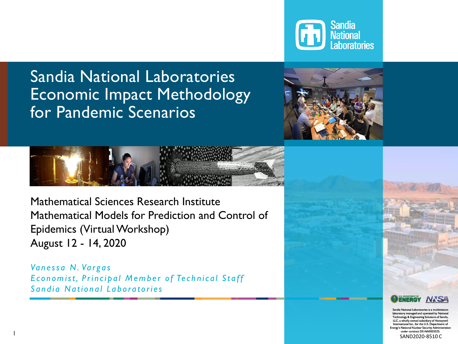

# Sandia National Laboratories Economic Impact Methodology for Pandemic Scenarios





Mathematical Sciences Research Institute Mathematical Models for Prediction and Control of Epidemics (Virtual Workshop) August 12 - 14, 2020

*Va n e s s a N . Va r g a s*  **Economist, Principal Member of Technical Staff Sandia National Laboratories** 

1



Sandia National Laboratories is a multimission boratory managed and operated by National Technology & Engineering Solutions of Sandia, LLC, a wholly owned subsidiary of Honeywell  $\widetilde{\mathsf{I}}$  Inc., for the U.S.  $\widetilde{\mathsf{I}}$ **ENergy Nuclear Security** under contract DE-NA0003525. SAND2020-8510 C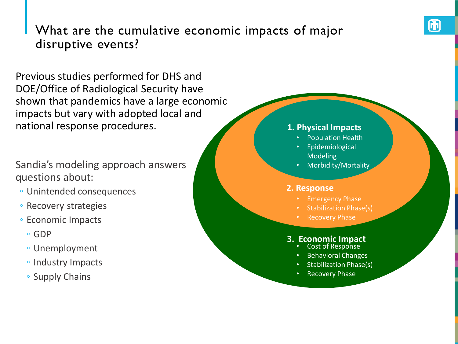## What are the cumulative economic impacts of major disruptive events?

Previous studies performed for DHS and DOE/Office of Radiological Security have shown that pandemics have a large economic impacts but vary with adopted local and national response procedures.

Sandia's modeling approach answers questions about:

- Unintended consequences
- Recovery strategies
- Economic Impacts
	- GDP
	- Unemployment
	- Industry Impacts
	- Supply Chains

#### **Physical 1. Physical Impacts**

- Population Health
- Scenario • Dispersion Modeling **Epidemiological**
- Morbidity/Mortality

#### **Response** • Emergency **2. Response**

- **Emergency Phase**
- Stabilization Stabilization Phase(s)
	- Phase **Recovery Phase**

# •**Economic (Direct/Indirect)** Recovery Phase • Cost of Response **3. Economic Impact**

- Cost of Response
- Behavioral Changes
- Stabilization Phase(s)
	- **Recovery Phase**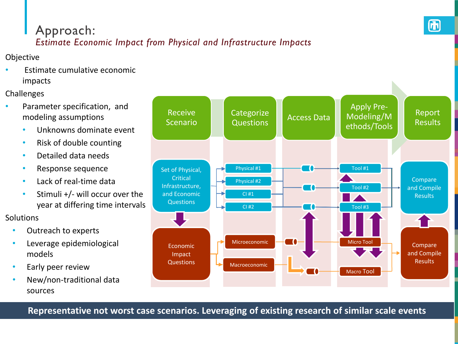# Approach:

## *Estimate Economic Impact from Physical and Infrastructure Impacts*

Objective

• Estimate cumulative economic impacts

Challenges

- Parameter specification, and modeling assumptions
	- Unknowns dominate event
	- Risk of double counting
	- Detailed data needs
	- Response sequence
	- Lack of real-time data
	- Stimuli +/- will occur over the year at differing time intervals

Solutions

- Outreach to experts
- Leverage epidemiological models
- Early peer review
- New/non-traditional data sources



**Representative not worst case scenarios. Leveraging of existing research of similar scale events**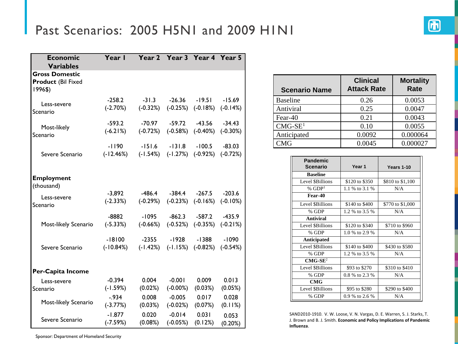# Past Scenarios: 2005 H5N1 and 2009 H1N1

| <b>Economic</b><br><b>Variables</b>                           | Year I                  |                        | Year 2 Year 3 Year 4 Year 5               |                                     |                         |
|---------------------------------------------------------------|-------------------------|------------------------|-------------------------------------------|-------------------------------------|-------------------------|
| <b>Gross Domestic</b><br><b>Product (Bil Fixed</b><br>1996\$) |                         |                        |                                           |                                     |                         |
| Less-severe<br>Scenario                                       | $-258.2$<br>$(-2.70%)$  | $-31.3$<br>$(-0.32%)$  | $-26.36$                                  | $-19.51$<br>$(-0.25\%)$ $(-0.18\%)$ | $-15.69$<br>$(-0.14%)$  |
| Most-likely<br>Scenario                                       | $-593.2$<br>$(-6.21%)$  | $-70.97$<br>$(-0.72%)$ | $-59.72$<br>$(-0.58%)$                    | $-43.56$<br>$(-0.40\%)$             | $-34.43$<br>$(-0.30\%)$ |
| Severe Scenario                                               | $-1190$<br>$(-12.46%)$  | $-151.6$<br>$(-1.54%)$ | $-131.8$                                  | $-100.5$<br>$(-1.27%)$ $(-0.92%)$   | $-83.03$<br>$(-0.72%)$  |
| <b>Employment</b><br>(thousand)                               |                         |                        |                                           |                                     |                         |
| Less-severe<br>Scenario                                       | $-3,892$<br>$(-2.33%)$  | -486.4<br>$(-0.29%)$   | -384.4                                    | $-267.5$<br>$(-0.23%)$ $(-0.16%)$   | $-203.6$<br>$(-0.10\%)$ |
| Most-likely Scenario                                          | $-8882$<br>$(-5.33%)$   | $-1095$<br>$(-0.66%)$  | $-862.3$                                  | $-587.2$<br>$(-0.52%)$ $(-0.35%)$   | $-435.9$<br>$(-0.21%)$  |
| Severe Scenario                                               | $-18100$<br>$(-10.84%)$ | $-2355$                | -1928<br>$(-1.42%)$ $(-1.15%)$ $(-0.82%)$ | $-1388$                             | $-1090$<br>$(-0.54%)$   |
| Per-Capita Income                                             |                         |                        |                                           |                                     |                         |
| Less-severe<br>Scenario                                       | $-0.394$<br>$(-1.59%)$  | 0.004<br>(0.02%)       | $-0.001$<br>$(-0.00\%)$                   | 0.009<br>(0.03%)                    | 0.013<br>(0.05%)        |
| Most-likely Scenario                                          | $-0.934$<br>$(-3.77%)$  | 0.008<br>(0.03%)       | $-0.005$<br>$(-0.02%)$                    | 0.017<br>(0.07%)                    | 0.028<br>(0.11%)        |
| Severe Scenario                                               | $-1.877$<br>$(-7.59%)$  | 0.020<br>(0.08%)       | $-0.014$<br>$(-0.05%)$                    | 0.031<br>(0.12%)                    | 0.053<br>(0.20%)        |

| <b>Scenario Name</b> | <b>Clinical</b><br><b>Attack Rate</b> | <b>Mortality</b><br><b>Rate</b> |
|----------------------|---------------------------------------|---------------------------------|
| <b>Baseline</b>      | 0.26                                  | 0.0053                          |
| Antiviral            | 0.25                                  | 0.0047                          |
| Fear-40              | 0.21                                  | 0.0043                          |
| $CMG-SE1$            | 0.10                                  | 0.0055                          |
| Anticipated          | 0.0092                                | 0.000064                        |
| CMG                  | 0.0045                                | 0.000027                        |

| <b>Pandemic</b><br><b>Scenario</b> | Year <sub>1</sub> | Years 1-10       |
|------------------------------------|-------------------|------------------|
| <b>Baseline</b>                    |                   |                  |
| Level \$Billions                   | \$120 to \$350    | \$810 to \$1,100 |
| % $GDP1$                           | 1.1 % to 3.1 %    | N/A              |
| Fear-40                            |                   |                  |
| Level \$Billions                   | \$140 to \$400    | \$770 to \$1,000 |
| % GDP                              | 1.2 % to 3.5 %    | N/A              |
| Antiviral                          |                   |                  |
| Level \$Billions                   | \$120 to \$340    | \$710 to \$960   |
| % GDP                              | 1.0 % to 2.9 %    | N/A              |
| <b>Anticipated</b>                 |                   |                  |
| Level \$Billions                   | \$140 to \$400    | \$430 to \$580   |
| % GDP                              | 1.2 % to 3.5 %    | N/A              |
| $CMG-SE2$                          |                   |                  |
| Level \$Billions                   | \$93 to \$270     | \$310 to \$410   |
| % GDP                              | 0.8 % to 2.3 %    | N/A              |
| <b>CMG</b>                         |                   |                  |
| Level \$Billions                   | \$95 to \$280     | \$290 to \$400   |
| % GDP                              | 0.9 % to 2.6 %    | N/A              |

SAND2010-1910. V. W. Loose, V. N. Vargas, D. E. Warren, S. J. Starks, T. J. Brown and B. J. Smith. **Economic and Policy Implications of Pandemic Influenza**.

Sponsor: Department of Homeland Security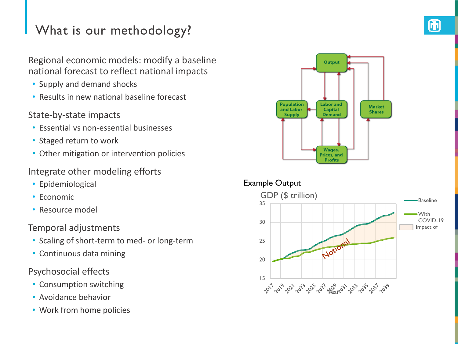## What is our methodology?

Regional economic models: modify a baseline national forecast to reflect national impacts

- Supply and demand shocks
- Results in new national baseline forecast

### State-by-state impacts

- Essential vs non-essential businesses
- Staged return to work
- Other mitigation or intervention policies

### Integrate other modeling efforts

- Epidemiological
- Economic
- Resource model

### Temporal adjustments

- Scaling of short-term to med- or long-term
- Continuous data mining

### Psychosocial effects

- Consumption switching
- Avoidance behavior
- Work from home policies



### Example Output

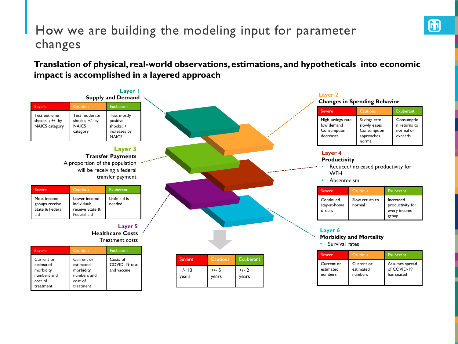## How we are building the modeling input for parameter changes

**Translation of physical, real-world observations, estimations, and hypotheticals into economic impact is accomplished in a layered approach**

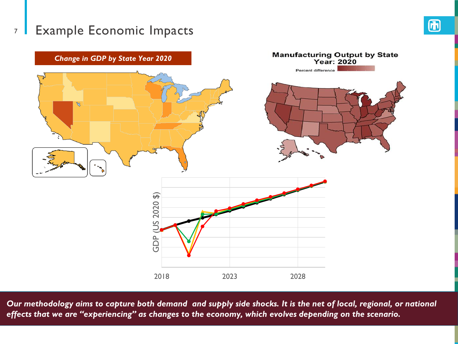## 7 Example Economic Impacts



*Our methodology aims to capture both demand and supply side shocks. It is the net of local, regional, or national effects that we are "experiencing" as changes to the economy, which evolves depending on the scenario.*